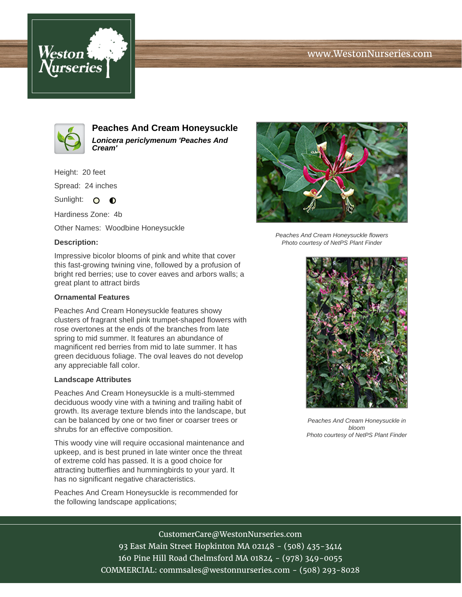## www.WestonNurseries.com





**Peaches And Cream Honeysuckle Lonicera periclymenum 'Peaches And Cream'**

Height: 20 feet

Spread: 24 inches

Sunlight: O **O** 

Hardiness Zone: 4b

Other Names: Woodbine Honeysuckle

### **Description:**

Impressive bicolor blooms of pink and white that cover this fast-growing twining vine, followed by a profusion of bright red berries; use to cover eaves and arbors walls; a great plant to attract birds

### **Ornamental Features**

Peaches And Cream Honeysuckle features showy clusters of fragrant shell pink trumpet-shaped flowers with rose overtones at the ends of the branches from late spring to mid summer. It features an abundance of magnificent red berries from mid to late summer. It has green deciduous foliage. The oval leaves do not develop any appreciable fall color.

#### **Landscape Attributes**

Peaches And Cream Honeysuckle is a multi-stemmed deciduous woody vine with a twining and trailing habit of growth. Its average texture blends into the landscape, but can be balanced by one or two finer or coarser trees or shrubs for an effective composition.

This woody vine will require occasional maintenance and upkeep, and is best pruned in late winter once the threat of extreme cold has passed. It is a good choice for attracting butterflies and hummingbirds to your yard. It has no significant negative characteristics.

Peaches And Cream Honeysuckle is recommended for the following landscape applications;



Peaches And Cream Honeysuckle flowers Photo courtesy of NetPS Plant Finder



Peaches And Cream Honeysuckle in bloom Photo courtesy of NetPS Plant Finder

# CustomerCare@WestonNurseries.com

93 East Main Street Hopkinton MA 02148 - (508) 435-3414 160 Pine Hill Road Chelmsford MA 01824 - (978) 349-0055 COMMERCIAL: commsales@westonnurseries.com - (508) 293-8028